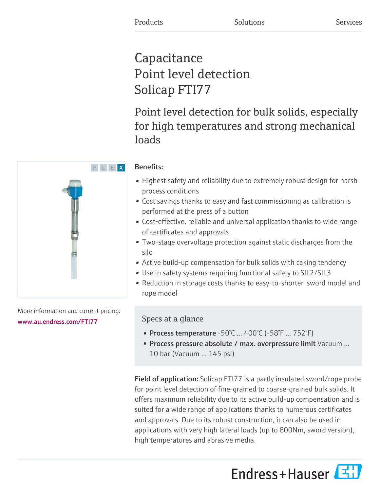# **Capacitance** Point level detection Solicap FTI77

Point level detection for bulk solids, especially for high temperatures and strong mechanical loads

# Benefits:

- Highest safety and reliability due to extremely robust design for harsh process conditions
- Cost savings thanks to easy and fast commissioning as calibration is performed at the press of a button
- Cost-effective, reliable and universal application thanks to wide range of certificates and approvals
- Two-stage overvoltage protection against static discharges from the silo
- Active build-up compensation for bulk solids with caking tendency
- Use in safety systems requiring functional safety to SIL2/SIL3
- Reduction in storage costs thanks to easy-to-shorten sword model and rope model

# Specs at a glance

- Process temperature  $-50^{\circ}$ C ...  $400^{\circ}$ C ( $-58^{\circ}$ F ... 752 $^{\circ}$ F)
- Process pressure absolute / max. overpressure limit Vacuum ... 10 bar (Vacuum ... 145 psi)

Field of application: Solicap FTI77 is a partly insulated sword/rope probe for point level detection of fine-grained to coarse-grained bulk solids. It offers maximum reliability due to its active build-up compensation and is suited for a wide range of applications thanks to numerous certificates and approvals. Due to its robust construction, it can also be used in applications with very high lateral loads (up to 800Nm, sword version), high temperatures and abrasive media.





More information and current pricing:

# [www.au.endress.com/FTI77](https://www.au.endress.com/FTI77)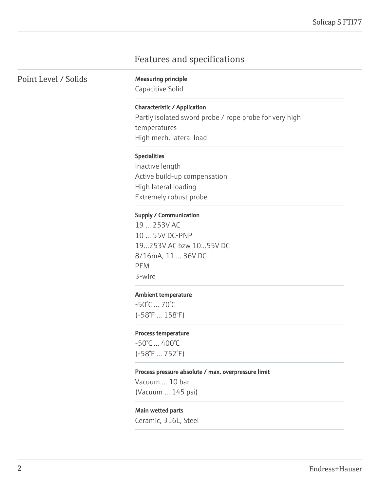# Features and specifications

Point Level / Solids Measuring principle

Capacitive Solid

# Characteristic / Application

Partly isolated sword probe / rope probe for very high temperatures High mech. lateral load

#### Specialities

Inactive length Active build-up compensation High lateral loading Extremely robust probe

#### Supply / Communication

19 ... 253V AC 10 ... 55V DC-PNP 19...253V AC bzw 10...55V DC 8/16mA, 11 ... 36V DC PFM 3-wire

### Ambient temperature

-50°C ... 70°C (-58°F ... 158°F)

#### Process temperature

-50°C ... 400°C (-58°F ... 752°F)

#### Process pressure absolute / max. overpressure limit

Vacuum ... 10 bar (Vacuum ... 145 psi)

### Main wetted parts

Ceramic, 316L, Steel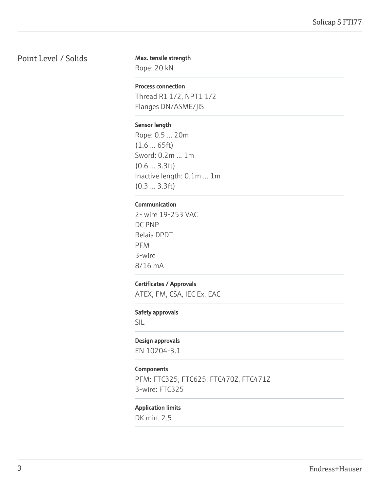# Point Level / Solids

### Max. tensile strength

Rope: 20 kN

# Process connection

Thread R1 1/2, NPT1 1/2 Flanges DN/ASME/JIS

# Sensor length

Rope: 0.5 ... 20m (1.6 ... 65ft) Sword: 0.2m ... 1m (0.6 ... 3.3ft) Inactive length: 0.1m ... 1m (0.3 ... 3.3ft)

# Communication

2- wire 19-253 VAC DC PNP Relais DPDT PFM 3-wire 8/16 mA

# Certificates / Approvals

ATEX, FM, CSA, IEC Ex, EAC

# Safety approvals

SIL

# Design approvals

EN 10204-3.1

# **Components**

PFM: FTC325, FTC625, FTC470Z, FTC471Z 3-wire: FTC325

# Application limits

DK min. 2.5